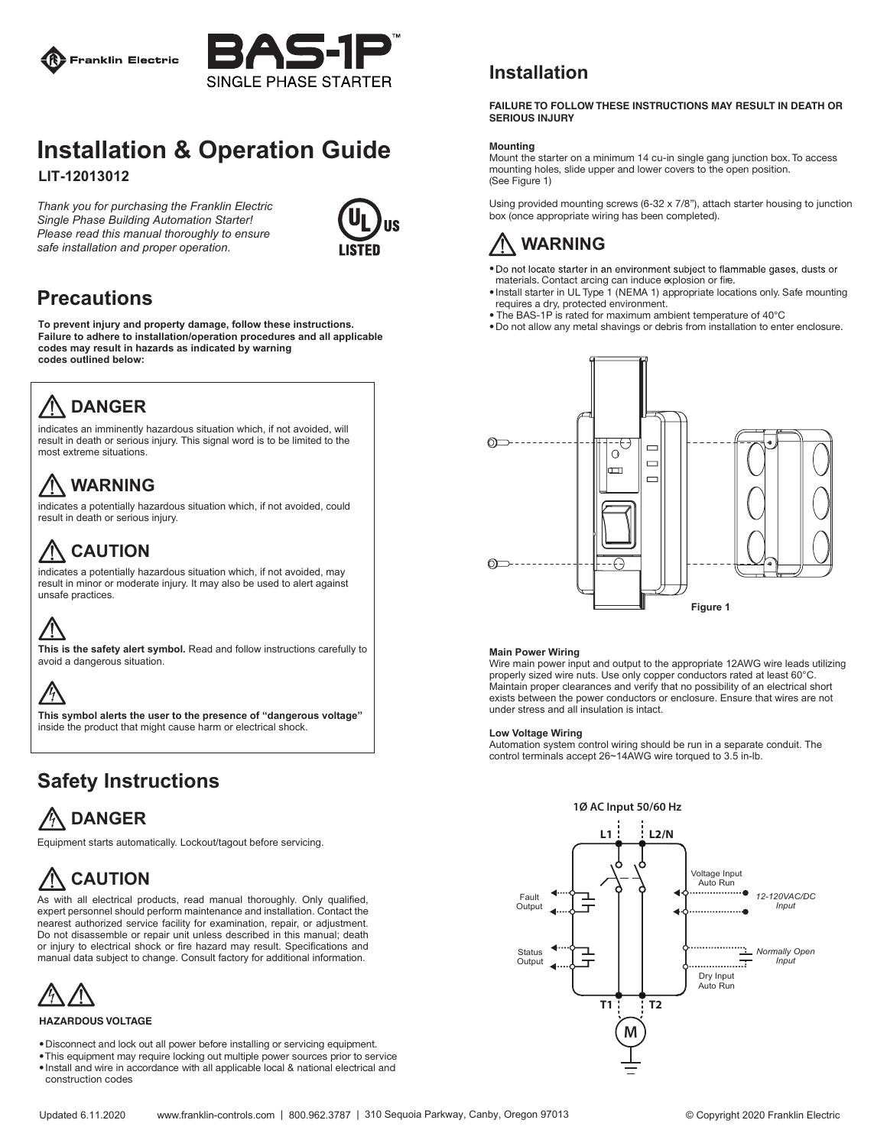



### **Installation & Operation Guide LIT-12013012**

*Thank you for purchasing the Franklin Electric Single Phase Building Automation Starter! Please read this manual thoroughly to ensure safe installation and proper operation.*



## **Precautions**

**To prevent injury and property damage, follow these instructions. Failure to adhere to installation/operation procedures and all applicable codes may result in hazards as indicated by warning codes outlined below:**

# **DANGER**

indicates an imminently hazardous situation which, if not avoided, will result in death or serious injury. This signal word is to be limited to the most extreme situations.

# **WARNING**

indicates a potentially hazardous situation which, if not avoided, could result in death or serious injury.

## **CAUTION**

indicates a potentially hazardous situation which, if not avoided, may result in minor or moderate injury. It may also be used to alert against unsafe practices.

### **This is the safety alert symbol.** Read and follow instructions carefully to avoid a dangerous situation.



**This symbol alerts the user to the presence of "dangerous voltage"** inside the product that might cause harm or electrical shock.

## **Safety Instructions**

# **DANGER**

Equipment starts automatically. Lockout/tagout before servicing.

# **CAUTION**

As with all electrical products, read manual thoroughly. Only qualified, expert personnel should perform maintenance and installation. Contact the nearest authorized service facility for examination, repair, or adjustment. Do not disassemble or repair unit unless described in this manual; death or injury to electrical shock or fire hazard may result. Specifications and manual data subject to change. Consult factory for additional information.



### **HAZARDOUS VOLTAGE**

- . Disconnect and lock out all power before installing or servicing equipment.
- . This equipment may require locking out multiple power sources prior to service
- $\bullet$  lnstall and wire in accordance with all applicable local & national electrical and construction codes

### **Installation**

#### **FAILURE TO FOLLOW THESE INSTRUCTIONS MAY RESULT IN DEATH OR SERIOUS INJURY**

### **Mounting**

Mount the starter on a minimum 14 cu-in single gang junction box. To access mounting holes, slide upper and lower covers to the open position. (See Figure 1)

Using provided mounting screws (6-32 x 7/8"), attach starter housing to junction box (once appropriate wiring has been completed).



- . Do not locate starter in an environment subject to flammable gases, dusts or materials. Contact arcing can induce explosion or fire.
- Install starter in UL Type 1 (NEMA 1) appropriate locations only. Safe mounting requires a dry, protected environment.
- The BAS-1P is rated for maximum ambient temperature of 40°C
- . Do not allow any metal shavings or debris from installation to enter enclosure.



### **Main Power Wiring**

Wire main power input and output to the appropriate 12AWG wire leads utilizing properly sized wire nuts. Use only copper conductors rated at least 60°C. Maintain proper clearances and verify that no possibility of an electrical short exists between the power conductors or enclosure. Ensure that wires are not under stress and all insulation is intact.

### **Low Voltage Wiring**

Automation system control wiring should be run in a separate conduit. The control terminals accept 26~14AWG wire torqued to 3.5 in-lb.